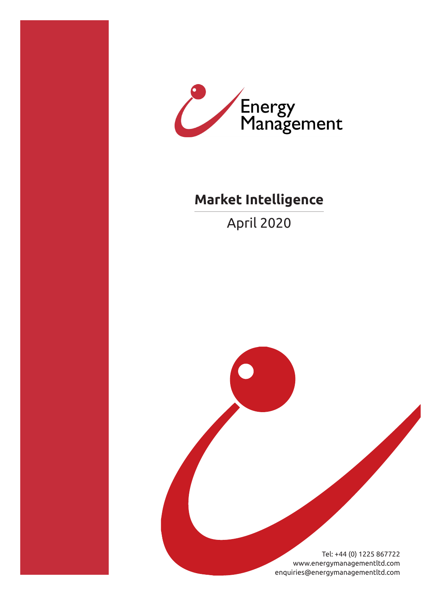



# **Market Intelligence**

April 2020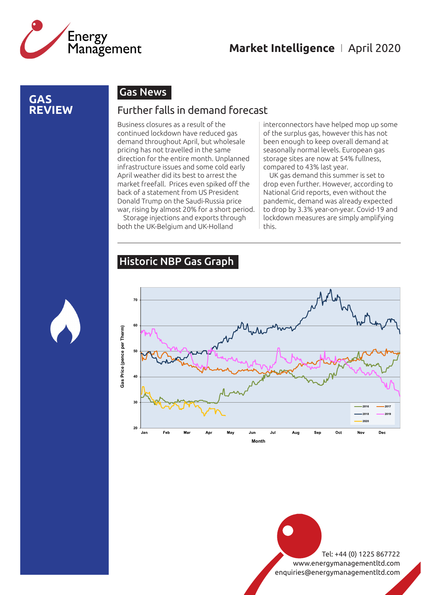

### **GAS REVIEW**

### Gas News

#### Further falls in demand forecast

Business closures as a result of the continued lockdown have reduced gas demand throughout April, but wholesale pricing has not travelled in the same direction for the entire month. Unplanned infrastructure issues and some cold early April weather did its best to arrest the market freefall. Prices even spiked off the back of a statement from US President Donald Trump on the Saudi-Russia price war, rising by almost 20% for a short period.

Storage injections and exports through both the UK-Belgium and UK-Holland

interconnectors have helped mop up some of the surplus gas, however this has not been enough to keep overall demand at seasonally normal levels. European gas storage sites are now at 54% fullness, compared to 43% last year.

UK gas demand this summer is set to drop even further. However, according to National Grid reports, even without the pandemic, demand was already expected to drop by 3.3% year-on-year. Covid-19 and lockdown measures are simply amplifying this.

## Historic NBP Gas Graph



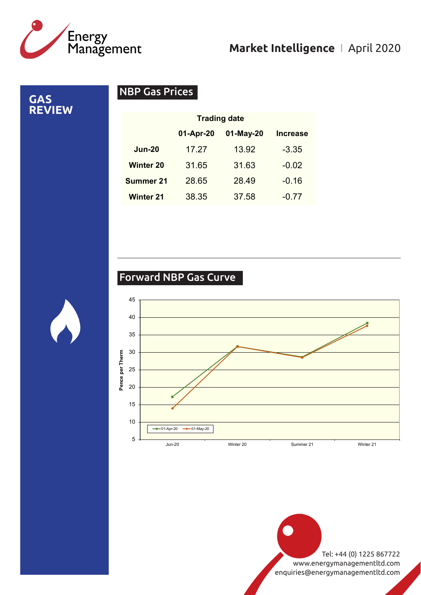

**GAS REVIEW**

# NBP Gas Prices

|                  | <b>Trading date</b> |           |                 |
|------------------|---------------------|-----------|-----------------|
|                  | 01-Apr-20           | 01-May-20 | <b>Increase</b> |
| <b>Jun-20</b>    | 17.27               | 13.92     | $-3.35$         |
| <b>Winter 20</b> | 31.65               | 31.63     | $-0.02$         |
| <b>Summer 21</b> | 28.65               | 28.49     | $-0.16$         |
| <b>Winter 21</b> | 38.35               | 37.58     | $-0.77$         |

# Forward NBP Gas Curve

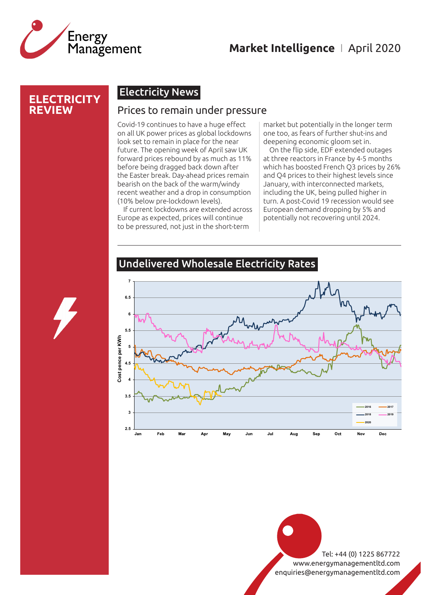

#### **ELECTRICITY REVIEW**

# Electricity News

#### Prices to remain under pressure

Covid-19 continues to have a huge effect on all UK power prices as global lockdowns look set to remain in place for the near future. The opening week of April saw UK forward prices rebound by as much as 11% before being dragged back down after the Easter break. Day-ahead prices remain bearish on the back of the warm/windy recent weather and a drop in consumption (10% below pre-lockdown levels).

If current lockdowns are extended across Europe as expected, prices will continue to be pressured, not just in the short-term

market but potentially in the longer term one too, as fears of further shut-ins and deepening economic gloom set in.

On the flip side, EDF extended outages at three reactors in France by 4-5 months which has boosted French Q3 prices by 26% and Q4 prices to their highest levels since January, with interconnected markets, including the UK, being pulled higher in turn. A post-Covid 19 recession would see European demand dropping by 5% and potentially not recovering until 2024.



#### Undelivered Wholesale Electricity Rates

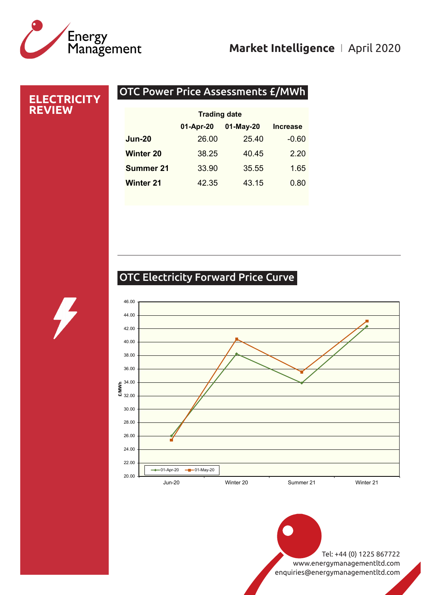

### **ELECTRICITY REVIEW**

## OTC Power Price Assessments £/MWh

| 01-Apr-20 | 01-May-20 | <b>Increase</b>     |
|-----------|-----------|---------------------|
| 26.00     | 25.40     | $-0.60$             |
| 38.25     | 40.45     | 2.20                |
| 33.90     | 35.55     | 1.65                |
| 42.35     | 43.15     | 0.80                |
|           |           | <b>Trading date</b> |

# OTC Electricity Forward Price Curve